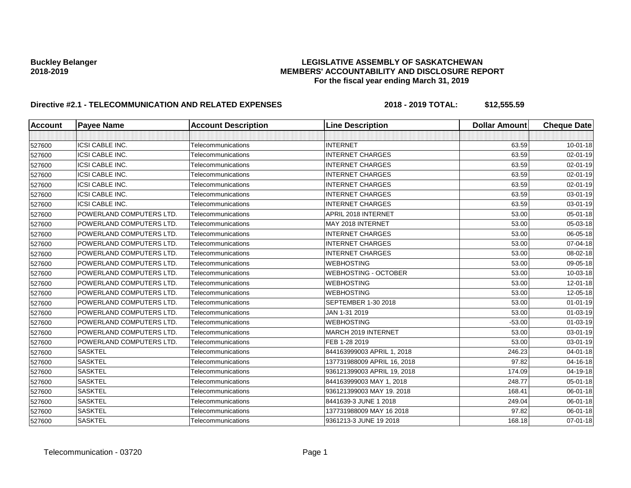# **Buckley Belanger LEGISLATIVE ASSEMBLY OF SASKATCHEWAN 2018-2019 MEMBERS' ACCOUNTABILITY AND DISCLOSURE REPORT For the fiscal year ending March 31, 2019**

# **Directive #2.1 - TELECOMMUNICATION AND RELATED EXPENSES** 2018 - 2018 - 2019 TOTAL: \$12,555.59

| <b>Account</b> | <b>Payee Name</b>        | <b>Account Description</b> | <b>Line Description</b>     | <b>Dollar Amount</b> | <b>Cheque Date</b> |
|----------------|--------------------------|----------------------------|-----------------------------|----------------------|--------------------|
|                |                          |                            |                             |                      |                    |
| 527600         | <b>ICSI CABLE INC.</b>   | Telecommunications         | <b>INTERNET</b>             | 63.59                | $10 - 01 - 18$     |
| 527600         | <b>ICSI CABLE INC.</b>   | Telecommunications         | <b>INTERNET CHARGES</b>     | 63.59                | 02-01-19           |
| 527600         | <b>ICSI CABLE INC.</b>   | Telecommunications         | <b>INTERNET CHARGES</b>     | 63.59                | 02-01-19           |
| 527600         | ICSI CABLE INC.          | Telecommunications         | <b>INTERNET CHARGES</b>     | 63.59                | 02-01-19           |
| 527600         | <b>ICSI CABLE INC.</b>   | Telecommunications         | <b>INTERNET CHARGES</b>     | 63.59                | 02-01-19           |
| 527600         | ICSI CABLE INC.          | Telecommunications         | <b>INTERNET CHARGES</b>     | 63.59                | 03-01-19           |
| 527600         | <b>ICSI CABLE INC.</b>   | Telecommunications         | <b>INTERNET CHARGES</b>     | 63.59                | 03-01-19           |
| 527600         | POWERLAND COMPUTERS LTD. | Telecommunications         | APRIL 2018 INTERNET         | 53.00                | 05-01-18           |
| 527600         | POWERLAND COMPUTERS LTD. | Telecommunications         | MAY 2018 INTERNET           | 53.00                | 05-03-18           |
| 527600         | POWERLAND COMPUTERS LTD. | Telecommunications         | <b>INTERNET CHARGES</b>     | 53.00                | 06-05-18           |
| 527600         | POWERLAND COMPUTERS LTD. | Telecommunications         | <b>INTERNET CHARGES</b>     | 53.00                | 07-04-18           |
| 527600         | POWERLAND COMPUTERS LTD. | Telecommunications         | <b>INTERNET CHARGES</b>     | 53.00                | 08-02-18           |
| 527600         | POWERLAND COMPUTERS LTD. | Telecommunications         | <b>WEBHOSTING</b>           | 53.00                | 09-05-18           |
| 527600         | POWERLAND COMPUTERS LTD. | Telecommunications         | <b>WEBHOSTING - OCTOBER</b> | 53.00                | 10-03-18           |
| 527600         | POWERLAND COMPUTERS LTD. | Telecommunications         | <b>WEBHOSTING</b>           | 53.00                | 12-01-18           |
| 527600         | POWERLAND COMPUTERS LTD. | Telecommunications         | <b>WEBHOSTING</b>           | 53.00                | 12-05-18           |
| 527600         | POWERLAND COMPUTERS LTD. | Telecommunications         | SEPTEMBER 1-30 2018         | 53.00                | $01 - 01 - 19$     |
| 527600         | POWERLAND COMPUTERS LTD. | Telecommunications         | JAN 1-31 2019               | 53.00                | $01 - 03 - 19$     |
| 527600         | POWERLAND COMPUTERS LTD. | Telecommunications         | <b>WEBHOSTING</b>           | $-53.00$             | 01-03-19           |
| 527600         | POWERLAND COMPUTERS LTD. | Telecommunications         | MARCH 2019 INTERNET         | 53.00                | 03-01-19           |
| 527600         | POWERLAND COMPUTERS LTD. | Telecommunications         | FEB 1-28 2019               | 53.00                | 03-01-19           |
| 527600         | <b>SASKTEL</b>           | Telecommunications         | 844163999003 APRIL 1, 2018  | 246.23               | 04-01-18           |
| 527600         | <b>SASKTEL</b>           | Telecommunications         | 137731988009 APRIL 16, 2018 | 97.82                | 04-16-18           |
| 527600         | <b>SASKTEL</b>           | Telecommunications         | 936121399003 APRIL 19, 2018 | 174.09               | 04-19-18           |
| 527600         | <b>SASKTEL</b>           | Telecommunications         | 844163999003 MAY 1, 2018    | 248.77               | 05-01-18           |
| 527600         | <b>SASKTEL</b>           | Telecommunications         | 936121399003 MAY 19. 2018   | 168.41               | 06-01-18           |
| 527600         | <b>SASKTEL</b>           | Telecommunications         | 8441639-3 JUNE 1 2018       | 249.04               | 06-01-18           |
| 527600         | <b>SASKTEL</b>           | Telecommunications         | 137731988009 MAY 16 2018    | 97.82                | 06-01-18           |
| 527600         | <b>SASKTEL</b>           | Telecommunications         | 9361213-3 JUNE 19 2018      | 168.18               | 07-01-18           |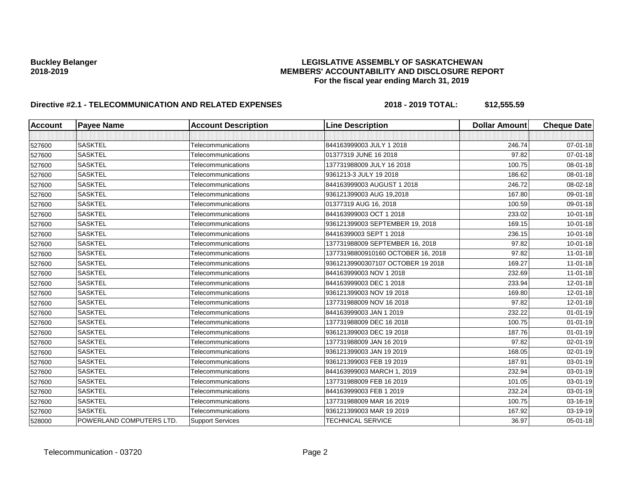# **Buckley Belanger LEGISLATIVE ASSEMBLY OF SASKATCHEWAN 2018-2019 MEMBERS' ACCOUNTABILITY AND DISCLOSURE REPORT For the fiscal year ending March 31, 2019**

# **Directive #2.1 - TELECOMMUNICATION AND RELATED EXPENSES** 2018 - 2018 - 2019 TOTAL: \$12,555.59

| <b>Account</b> | <b>Payee Name</b>        | <b>Account Description</b> | <b>Line Description</b>            | <b>Dollar Amount</b> | <b>Cheque Date</b> |
|----------------|--------------------------|----------------------------|------------------------------------|----------------------|--------------------|
|                |                          |                            |                                    |                      |                    |
| 527600         | <b>SASKTEL</b>           | Telecommunications         | 844163999003 JULY 1 2018           | 246.74               | 07-01-18           |
| 527600         | <b>SASKTEL</b>           | Telecommunications         | 01377319 JUNE 16 2018              | 97.82                | $07 - 01 - 18$     |
| 527600         | <b>SASKTEL</b>           | Telecommunications         | 137731988009 JULY 16 2018          | 100.75               | 08-01-18           |
| 527600         | <b>SASKTEL</b>           | Telecommunications         | 9361213-3 JULY 19 2018             | 186.62               | 08-01-18           |
| 527600         | <b>SASKTEL</b>           | Telecommunications         | 844163999003 AUGUST 1 2018         | 246.72               | 08-02-18           |
| 527600         | <b>SASKTEL</b>           | Telecommunications         | 936121399003 AUG 19,2018           | 167.80               | 09-01-18           |
| 527600         | <b>SASKTEL</b>           | Telecommunications         | 01377319 AUG 16, 2018              | 100.59               | 09-01-18           |
| 527600         | <b>SASKTEL</b>           | Telecommunications         | 844163999003 OCT 1 2018            | 233.02               | 10-01-18           |
| 527600         | <b>SASKTEL</b>           | Telecommunications         | 936121399003 SEPTEMBER 19, 2018    | 169.15               | $10 - 01 - 18$     |
| 527600         | <b>SASKTEL</b>           | Telecommunications         | 84416399003 SEPT 1 2018            | 236.15               | $10 - 01 - 18$     |
| 527600         | <b>SASKTEL</b>           | Telecommunications         | 137731988009 SEPTEMBER 16, 2018    | 97.82                | $10 - 01 - 18$     |
| 527600         | <b>SASKTEL</b>           | Telecommunications         | 13773198800910160 OCTOBER 16, 2018 | 97.82                | $11 - 01 - 18$     |
| 527600         | <b>SASKTEL</b>           | Telecommunications         | 93612139900307107 OCTOBER 19 2018  | 169.27               | $11 - 01 - 18$     |
| 527600         | <b>SASKTEL</b>           | Telecommunications         | 844163999003 NOV 1 2018            | 232.69               | $11 - 01 - 18$     |
| 527600         | <b>SASKTEL</b>           | Telecommunications         | 844163999003 DEC 1 2018            | 233.94               | 12-01-18           |
| 527600         | <b>SASKTEL</b>           | Telecommunications         | 936121399003 NOV 19 2018           | 169.80               | 12-01-18           |
| 527600         | <b>SASKTEL</b>           | Telecommunications         | 137731988009 NOV 16 2018           | 97.82                | 12-01-18           |
| 527600         | <b>SASKTEL</b>           | Telecommunications         | 844163999003 JAN 1 2019            | 232.22               | $01 - 01 - 19$     |
| 527600         | <b>SASKTEL</b>           | Telecommunications         | 137731988009 DEC 16 2018           | 100.75               | $01 - 01 - 19$     |
| 527600         | <b>SASKTEL</b>           | Telecommunications         | 936121399003 DEC 19 2018           | 187.76               | $01 - 01 - 19$     |
| 527600         | <b>SASKTEL</b>           | Telecommunications         | 137731988009 JAN 16 2019           | 97.82                | $02 - 01 - 19$     |
| 527600         | <b>SASKTEL</b>           | Telecommunications         | 936121399003 JAN 19 2019           | 168.05               | 02-01-19           |
| 527600         | <b>SASKTEL</b>           | Telecommunications         | 936121399003 FEB 19 2019           | 187.91               | 03-01-19           |
| 527600         | <b>SASKTEL</b>           | Telecommunications         | 844163999003 MARCH 1, 2019         | 232.94               | 03-01-19           |
| 527600         | <b>SASKTEL</b>           | Telecommunications         | 137731988009 FEB 16 2019           | 101.05               | 03-01-19           |
| 527600         | <b>SASKTEL</b>           | Telecommunications         | 844163999003 FEB 1 2019            | 232.24               | 03-01-19           |
| 527600         | <b>SASKTEL</b>           | Telecommunications         | 137731988009 MAR 16 2019           | 100.75               | 03-16-19           |
| 527600         | <b>SASKTEL</b>           | Telecommunications         | 936121399003 MAR 19 2019           | 167.92               | 03-19-19           |
| 528000         | POWERLAND COMPUTERS LTD. | <b>Support Services</b>    | TECHNICAL SERVICE                  | 36.97                | 05-01-18           |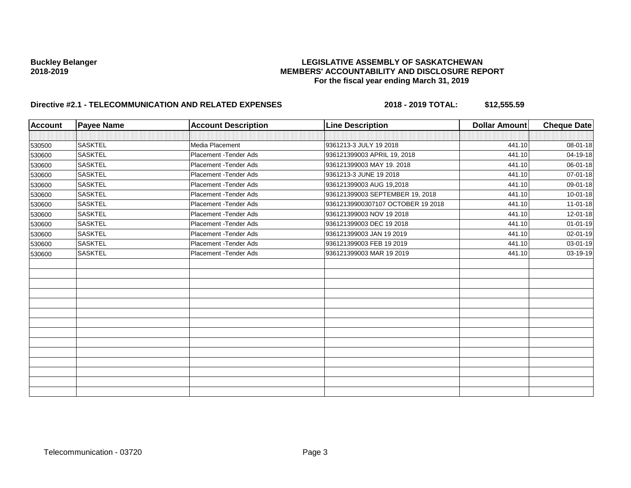# **Buckley Belanger LEGISLATIVE ASSEMBLY OF SASKATCHEWAN 2018-2019 MEMBERS' ACCOUNTABILITY AND DISCLOSURE REPORT For the fiscal year ending March 31, 2019**

# **Directive #2.1 - TELECOMMUNICATION AND RELATED EXPENSES** 2018 - 2018 - 2019 TOTAL: \$12,555.59

| <b>Account</b> | <b>Payee Name</b> | <b>Account Description</b> | <b>Line Description</b>           | <b>Dollar Amount</b> | <b>Cheque Date</b> |
|----------------|-------------------|----------------------------|-----------------------------------|----------------------|--------------------|
|                |                   |                            |                                   |                      |                    |
| 530500         | <b>SASKTEL</b>    | Media Placement            | 9361213-3 JULY 19 2018            | 441.10               | 08-01-18           |
| 530600         | <b>SASKTEL</b>    | Placement - Tender Ads     | 936121399003 APRIL 19, 2018       | 441.10               | 04-19-18           |
| 530600         | <b>SASKTEL</b>    | Placement - Tender Ads     | 936121399003 MAY 19, 2018         | 441.10               | 06-01-18           |
| 530600         | <b>SASKTEL</b>    | Placement - Tender Ads     | 9361213-3 JUNE 19 2018            | 441.10               | 07-01-18           |
| 530600         | <b>SASKTEL</b>    | Placement - Tender Ads     | 936121399003 AUG 19,2018          | 441.10               | 09-01-18           |
| 530600         | <b>SASKTEL</b>    | Placement - Tender Ads     | 936121399003 SEPTEMBER 19, 2018   | 441.10               | $10 - 01 - 18$     |
| 530600         | <b>SASKTEL</b>    | Placement - Tender Ads     | 93612139900307107 OCTOBER 19 2018 | 441.10               | $11 - 01 - 18$     |
| 530600         | <b>SASKTEL</b>    | Placement - Tender Ads     | 936121399003 NOV 19 2018          | 441.10               | 12-01-18           |
| 530600         | <b>SASKTEL</b>    | Placement - Tender Ads     | 936121399003 DEC 19 2018          | 441.10               | $01 - 01 - 19$     |
| 530600         | <b>SASKTEL</b>    | Placement - Tender Ads     | 936121399003 JAN 19 2019          | 441.10               | 02-01-19           |
| 530600         | <b>SASKTEL</b>    | Placement - Tender Ads     | 936121399003 FEB 19 2019          | 441.10               | 03-01-19           |
| 530600         | <b>SASKTEL</b>    | Placement - Tender Ads     | 936121399003 MAR 19 2019          | 441.10               | 03-19-19           |
|                |                   |                            |                                   |                      |                    |
|                |                   |                            |                                   |                      |                    |
|                |                   |                            |                                   |                      |                    |
|                |                   |                            |                                   |                      |                    |
|                |                   |                            |                                   |                      |                    |
|                |                   |                            |                                   |                      |                    |
|                |                   |                            |                                   |                      |                    |
|                |                   |                            |                                   |                      |                    |
|                |                   |                            |                                   |                      |                    |
|                |                   |                            |                                   |                      |                    |
|                |                   |                            |                                   |                      |                    |
|                |                   |                            |                                   |                      |                    |
|                |                   |                            |                                   |                      |                    |
|                |                   |                            |                                   |                      |                    |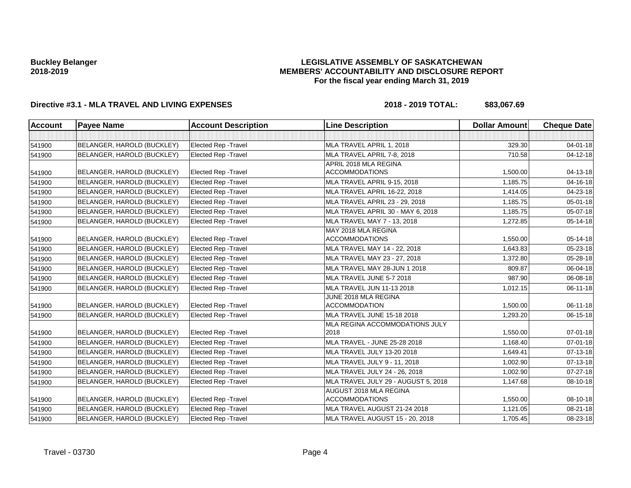### **LEGISLATIVE ASSEMBLY OF SASKATCHEWAN MEMBERS' ACCOUNTABILITY AND DISCLOSURE REPORT For the fiscal year ending March 31, 2019**

# **Directive #3.1 - MLA TRAVEL AND LIVING EXPENSES 2018 - 2019 TOTAL: \$83,067.69**

| <b>Account</b> | <b>Payee Name</b>          | <b>Account Description</b>  | <b>Line Description</b>                         | <b>Dollar Amount</b> | <b>Cheque Date</b> |
|----------------|----------------------------|-----------------------------|-------------------------------------------------|----------------------|--------------------|
|                |                            |                             |                                                 |                      |                    |
| 541900         | BELANGER, HAROLD (BUCKLEY) | Elected Rep - Travel        | MLA TRAVEL APRIL 1, 2018                        | 329.30               | 04-01-18           |
| 541900         | BELANGER, HAROLD (BUCKLEY) | <b>Elected Rep - Travel</b> | MLA TRAVEL APRIL 7-8, 2018                      | 710.58               | 04-12-18           |
|                |                            |                             | APRIL 2018 MLA REGINA                           |                      |                    |
| 541900         | BELANGER, HAROLD (BUCKLEY) | <b>Elected Rep - Travel</b> | <b>ACCOMMODATIONS</b>                           | 1,500.00             | 04-13-18           |
| 541900         | BELANGER, HAROLD (BUCKLEY) | <b>Elected Rep - Travel</b> | MLA TRAVEL APRIL 9-15, 2018                     | 1,185.75             | 04-16-18           |
| 541900         | BELANGER, HAROLD (BUCKLEY) | Elected Rep - Travel        | MLA TRAVEL APRIL 16-22, 2018                    | 1,414.05             | 04-23-18           |
| 541900         | BELANGER, HAROLD (BUCKLEY) | <b>Elected Rep - Travel</b> | MLA TRAVEL APRIL 23 - 29, 2018                  | 1,185.75             | 05-01-18           |
| 541900         | BELANGER, HAROLD (BUCKLEY) | Elected Rep - Travel        | MLA TRAVEL APRIL 30 - MAY 6, 2018               | 1,185.75             | 05-07-18           |
| 541900         | BELANGER, HAROLD (BUCKLEY) | <b>Elected Rep - Travel</b> | MLA TRAVEL MAY 7 - 13, 2018                     | 1,272.85             | 05-14-18           |
| 541900         | BELANGER, HAROLD (BUCKLEY) | <b>Elected Rep - Travel</b> | MAY 2018 MLA REGINA<br><b>ACCOMMODATIONS</b>    | 1,550.00             | 05-14-18           |
| 541900         | BELANGER, HAROLD (BUCKLEY) | <b>Elected Rep - Travel</b> | MLA TRAVEL MAY 14 - 22, 2018                    | 1,643.83             | 05-23-18           |
| 541900         | BELANGER, HAROLD (BUCKLEY) | Elected Rep - Travel        | MLA TRAVEL MAY 23 - 27, 2018                    | 1,372.80             | 05-28-18           |
| 541900         | BELANGER, HAROLD (BUCKLEY) | <b>Elected Rep - Travel</b> | MLA TRAVEL MAY 28-JUN 1 2018                    | 809.87               | 06-04-18           |
| 541900         | BELANGER, HAROLD (BUCKLEY) | Elected Rep - Travel        | MLA TRAVEL JUNE 5-7 2018                        | 987.90               | 06-08-18           |
| 541900         | BELANGER, HAROLD (BUCKLEY) | Elected Rep - Travel        | MLA TRAVEL JUN 11-13 2018                       | 1,012.15             | 06-11-18           |
| 541900         | BELANGER, HAROLD (BUCKLEY) | <b>Elected Rep - Travel</b> | JUNE 2018 MLA REGINA<br><b>ACCOMMODATION</b>    | 1,500.00             | 06-11-18           |
| 541900         | BELANGER, HAROLD (BUCKLEY) | <b>Elected Rep - Travel</b> | MLA TRAVEL JUNE 15-18 2018                      | 1,293.20             | 06-15-18           |
| 541900         | BELANGER, HAROLD (BUCKLEY) | <b>Elected Rep - Travel</b> | MLA REGINA ACCOMMODATIONS JULY<br>2018          | 1,550.00             | 07-01-18           |
| 541900         | BELANGER, HAROLD (BUCKLEY) | <b>Elected Rep - Travel</b> | MLA TRAVEL - JUNE 25-28 2018                    | 1,168.40             | $07 - 01 - 18$     |
| 541900         | BELANGER, HAROLD (BUCKLEY) | <b>Elected Rep - Travel</b> | MLA TRAVEL JULY 13-20 2018                      | 1,649.41             | 07-13-18           |
| 541900         | BELANGER, HAROLD (BUCKLEY) | <b>Elected Rep - Travel</b> | MLA TRAVEL JULY 9 - 11, 2018                    | 1,002.90             | 07-13-18           |
| 541900         | BELANGER, HAROLD (BUCKLEY) | <b>Elected Rep - Travel</b> | MLA TRAVEL JULY 24 - 26, 2018                   | 1,002.90             | 07-27-18           |
| 541900         | BELANGER, HAROLD (BUCKLEY) | <b>Elected Rep - Travel</b> | MLA TRAVEL JULY 29 - AUGUST 5, 2018             | 1,147.68             | 08-10-18           |
| 541900         | BELANGER, HAROLD (BUCKLEY) | <b>Elected Rep - Travel</b> | AUGUST 2018 MLA REGINA<br><b>ACCOMMODATIONS</b> | 1,550.00             | 08-10-18           |
| 541900         | BELANGER, HAROLD (BUCKLEY) | <b>Elected Rep - Travel</b> | MLA TRAVEL AUGUST 21-24 2018                    | 1,121.05             | 08-21-18           |
| 541900         | BELANGER, HAROLD (BUCKLEY) | Elected Rep - Travel        | MLA TRAVEL AUGUST 15 - 20, 2018                 | 1,705.45             | 08-23-18           |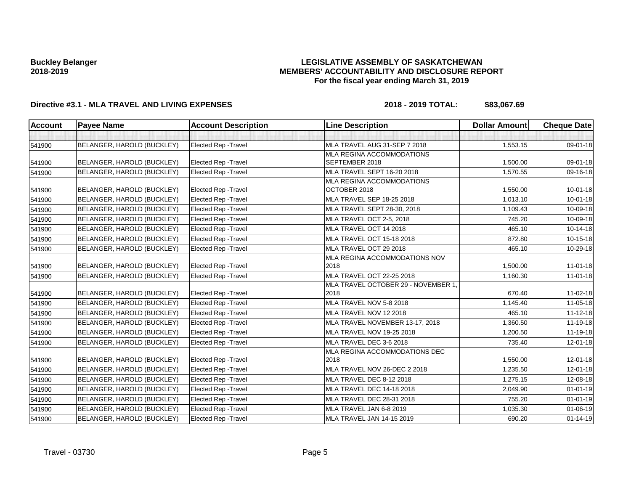### **LEGISLATIVE ASSEMBLY OF SASKATCHEWAN MEMBERS' ACCOUNTABILITY AND DISCLOSURE REPORT For the fiscal year ending March 31, 2019**

# **Directive #3.1 - MLA TRAVEL AND LIVING EXPENSES 2018 - 2019 TOTAL: \$83,067.69**

| <b>Account</b> | <b>Payee Name</b>          | <b>Account Description</b>  | <b>Line Description</b>             | <b>Dollar Amount</b> | <b>Cheque Date</b> |
|----------------|----------------------------|-----------------------------|-------------------------------------|----------------------|--------------------|
|                |                            |                             |                                     |                      |                    |
| 541900         | BELANGER, HAROLD (BUCKLEY) | <b>Elected Rep - Travel</b> | MLA TRAVEL AUG 31-SEP 7 2018        | 1,553.15             | 09-01-18           |
|                |                            |                             | MLA REGINA ACCOMMODATIONS           |                      |                    |
| 541900         | BELANGER, HAROLD (BUCKLEY) | Elected Rep - Travel        | SEPTEMBER 2018                      | 1,500.00             | 09-01-18           |
| 541900         | BELANGER, HAROLD (BUCKLEY) | <b>Elected Rep - Travel</b> | MLA TRAVEL SEPT 16-20 2018          | 1,570.55             | 09-16-18           |
|                |                            |                             | <b>MLA REGINA ACCOMMODATIONS</b>    |                      |                    |
| 541900         | BELANGER, HAROLD (BUCKLEY) | <b>Elected Rep - Travel</b> | OCTOBER 2018                        | 1,550.00             | $10 - 01 - 18$     |
| 541900         | BELANGER, HAROLD (BUCKLEY) | <b>Elected Rep - Travel</b> | MLA TRAVEL SEP 18-25 2018           | 1,013.10             | $10 - 01 - 18$     |
| 541900         | BELANGER, HAROLD (BUCKLEY) | <b>Elected Rep - Travel</b> | MLA TRAVEL SEPT 28-30, 2018         | 1,109.43             | 10-09-18           |
| 541900         | BELANGER, HAROLD (BUCKLEY) | Elected Rep - Travel        | MLA TRAVEL OCT 2-5, 2018            | 745.20               | 10-09-18           |
| 541900         | BELANGER, HAROLD (BUCKLEY) | Elected Rep - Travel        | MLA TRAVEL OCT 14 2018              | 465.10               | 10-14-18           |
| 541900         | BELANGER, HAROLD (BUCKLEY) | <b>Elected Rep - Travel</b> | <b>MLA TRAVEL OCT 15-18 2018</b>    | 872.80               | 10-15-18           |
| 541900         | BELANGER, HAROLD (BUCKLEY) | <b>Elected Rep - Travel</b> | MLA TRAVEL OCT 29 2018              | 465.10               | 10-29-18           |
|                |                            |                             | MLA REGINA ACCOMMODATIONS NOV       |                      |                    |
| 541900         | BELANGER, HAROLD (BUCKLEY) | <b>Elected Rep - Travel</b> | 2018                                | 1,500.00             | $11-01-18$         |
| 541900         | BELANGER, HAROLD (BUCKLEY) | Elected Rep - Travel        | MLA TRAVEL OCT 22-25 2018           | 1,160.30             | $11-01-18$         |
|                |                            |                             | MLA TRAVEL OCTOBER 29 - NOVEMBER 1, |                      |                    |
| 541900         | BELANGER, HAROLD (BUCKLEY) | <b>Elected Rep - Travel</b> | 2018                                | 670.40               | 11-02-18           |
| 541900         | BELANGER, HAROLD (BUCKLEY) | Elected Rep - Travel        | MLA TRAVEL NOV 5-8 2018             | 1,145.40             | 11-05-18           |
| 541900         | BELANGER, HAROLD (BUCKLEY) | Elected Rep - Travel        | MLA TRAVEL NOV 12 2018              | 465.10               | $11 - 12 - 18$     |
| 541900         | BELANGER, HAROLD (BUCKLEY) | <b>Elected Rep - Travel</b> | MLA TRAVEL NOVEMBER 13-17, 2018     | 1,360.50             | 11-19-18           |
| 541900         | BELANGER, HAROLD (BUCKLEY) | <b>Elected Rep - Travel</b> | MLA TRAVEL NOV 19-25 2018           | 1,200.50             | 11-19-18           |
| 541900         | BELANGER, HAROLD (BUCKLEY) | <b>Elected Rep - Travel</b> | MLA TRAVEL DEC 3-6 2018             | 735.40               | $12 - 01 - 18$     |
|                |                            |                             | MLA REGINA ACCOMMODATIONS DEC       |                      |                    |
| 541900         | BELANGER, HAROLD (BUCKLEY) | Elected Rep - Travel        | 2018                                | 1,550.00             | 12-01-18           |
| 541900         | BELANGER, HAROLD (BUCKLEY) | Elected Rep - Travel        | MLA TRAVEL NOV 26-DEC 2 2018        | 1,235.50             | 12-01-18           |
| 541900         | BELANGER, HAROLD (BUCKLEY) | <b>Elected Rep - Travel</b> | MLA TRAVEL DEC 8-12 2018            | 1,275.15             | 12-08-18           |
| 541900         | BELANGER, HAROLD (BUCKLEY) | <b>Elected Rep - Travel</b> | MLA TRAVEL DEC 14-18 2018           | 2,049.90             | $01 - 01 - 19$     |
| 541900         | BELANGER, HAROLD (BUCKLEY) | <b>Elected Rep - Travel</b> | MLA TRAVEL DEC 28-31 2018           | 755.20               | $01 - 01 - 19$     |
| 541900         | BELANGER, HAROLD (BUCKLEY) | Elected Rep - Travel        | MLA TRAVEL JAN 6-8 2019             | 1,035.30             | 01-06-19           |
| 541900         | BELANGER, HAROLD (BUCKLEY) | <b>Elected Rep - Travel</b> | MLA TRAVEL JAN 14-15 2019           | 690.20               | $01 - 14 - 19$     |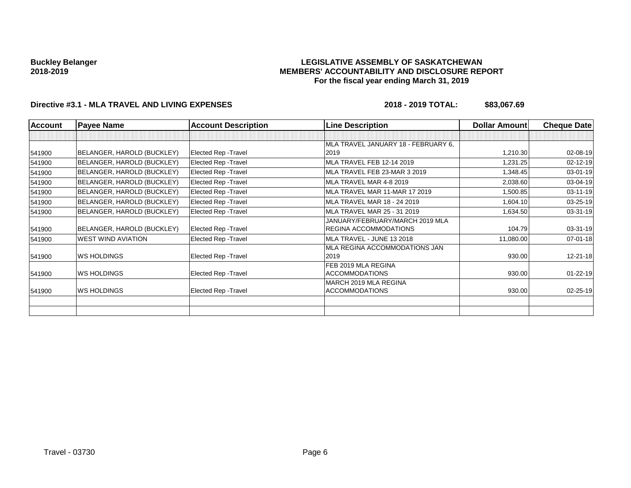### **LEGISLATIVE ASSEMBLY OF SASKATCHEWAN MEMBERS' ACCOUNTABILITY AND DISCLOSURE REPORT For the fiscal year ending March 31, 2019**

# **Directive #3.1 - MLA TRAVEL AND LIVING EXPENSES 2018 - 2019 TOTAL: \$83,067.69**

| <b>Account</b> | <b>Payee Name</b>          | <b>Account Description</b>  | <b>Line Description</b>             | Dollar Amount | <b>Cheque Date</b> |
|----------------|----------------------------|-----------------------------|-------------------------------------|---------------|--------------------|
|                |                            |                             |                                     |               |                    |
|                |                            |                             | MLA TRAVEL JANUARY 18 - FEBRUARY 6, |               |                    |
| 541900         | BELANGER, HAROLD (BUCKLEY) | <b>Elected Rep - Travel</b> | 2019                                | 1,210.30      | 02-08-19           |
| 541900         | BELANGER, HAROLD (BUCKLEY) | <b>Elected Rep - Travel</b> | MLA TRAVEL FEB 12-14 2019           | 1,231.25      | 02-12-19           |
| 541900         | BELANGER, HAROLD (BUCKLEY) | <b>Elected Rep - Travel</b> | MLA TRAVEL FEB 23-MAR 3 2019        | 1,348.45      | 03-01-19           |
| 541900         | BELANGER, HAROLD (BUCKLEY) | <b>Elected Rep - Travel</b> | MLA TRAVEL MAR 4-8 2019             | 2,038.60      | 03-04-19           |
| 541900         | BELANGER, HAROLD (BUCKLEY) | Elected Rep - Travel        | MLA TRAVEL MAR 11-MAR 17 2019       | 1,500.85      | 03-11-19           |
| 541900         | BELANGER, HAROLD (BUCKLEY) | Elected Rep - Travel        | MLA TRAVEL MAR 18 - 24 2019         | 1,604.10      | 03-25-19           |
| 541900         | BELANGER, HAROLD (BUCKLEY) | <b>Elected Rep - Travel</b> | MLA TRAVEL MAR 25 - 31 2019         | 1,634.50      | 03-31-19           |
|                |                            |                             | JANUARY/FEBRUARY/MARCH 2019 MLA     |               |                    |
| 541900         | BELANGER, HAROLD (BUCKLEY) | <b>Elected Rep - Travel</b> | <b>REGINA ACCOMMODATIONS</b>        | 104.79        | 03-31-19           |
| 541900         | <b>WEST WIND AVIATION</b>  | <b>Elected Rep - Travel</b> | MLA TRAVEL - JUNE 13 2018           | 11,080.00     | 07-01-18           |
|                |                            |                             | MLA REGINA ACCOMMODATIONS JAN       |               |                    |
| 541900         | <b>WS HOLDINGS</b>         | <b>Elected Rep - Travel</b> | 2019                                | 930.00        | 12-21-18           |
|                |                            |                             | FEB 2019 MLA REGINA                 |               |                    |
| 541900         | <b>WS HOLDINGS</b>         | Elected Rep - Travel        | <b>ACCOMMODATIONS</b>               | 930.00        | $01 - 22 - 19$     |
|                |                            |                             | MARCH 2019 MLA REGINA               |               |                    |
| 541900         | <b>WS HOLDINGS</b>         | <b>Elected Rep - Travel</b> | <b>ACCOMMODATIONS</b>               | 930.00        | 02-25-19           |
|                |                            |                             |                                     |               |                    |
|                |                            |                             |                                     |               |                    |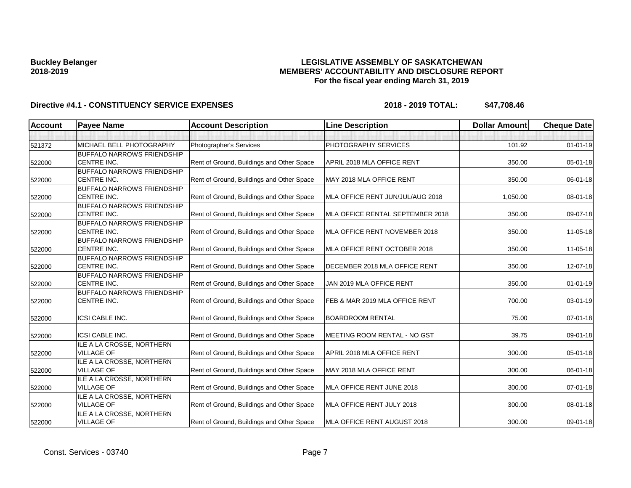### **LEGISLATIVE ASSEMBLY OF SASKATCHEWAN MEMBERS' ACCOUNTABILITY AND DISCLOSURE REPORT For the fiscal year ending March 31, 2019**

| <b>Account</b> | <b>Payee Name</b>                                | <b>Account Description</b>                | <b>Line Description</b>          | <b>Dollar Amount</b> | <b>Cheque Date</b> |
|----------------|--------------------------------------------------|-------------------------------------------|----------------------------------|----------------------|--------------------|
|                |                                                  |                                           |                                  |                      |                    |
| 521372         | MICHAEL BELL PHOTOGRAPHY                         | Photographer's Services                   | PHOTOGRAPHY SERVICES             | 101.92               | $01 - 01 - 19$     |
|                | <b>BUFFALO NARROWS FRIENDSHIP</b>                |                                           |                                  |                      |                    |
| 522000         | CENTRE INC.                                      | Rent of Ground, Buildings and Other Space | APRIL 2018 MLA OFFICE RENT       | 350.00               | $05 - 01 - 18$     |
|                | <b>BUFFALO NARROWS FRIENDSHIP</b>                |                                           |                                  |                      |                    |
| 522000         | CENTRE INC.                                      | Rent of Ground, Buildings and Other Space | MAY 2018 MLA OFFICE RENT         | 350.00               | 06-01-18           |
|                | <b>BUFFALO NARROWS FRIENDSHIP</b>                |                                           |                                  |                      |                    |
| 522000         | CENTRE INC.                                      | Rent of Ground, Buildings and Other Space | MLA OFFICE RENT JUN/JUL/AUG 2018 | 1,050.00             | 08-01-18           |
|                | <b>BUFFALO NARROWS FRIENDSHIP</b><br>CENTRE INC. | Rent of Ground, Buildings and Other Space | MLA OFFICE RENTAL SEPTEMBER 2018 | 350.00               | 09-07-18           |
| 522000         | <b>BUFFALO NARROWS FRIENDSHIP</b>                |                                           |                                  |                      |                    |
| 522000         | CENTRE INC.                                      | Rent of Ground, Buildings and Other Space | MLA OFFICE RENT NOVEMBER 2018    | 350.00               | 11-05-18           |
|                | <b>BUFFALO NARROWS FRIENDSHIP</b>                |                                           |                                  |                      |                    |
| 522000         | CENTRE INC.                                      | Rent of Ground, Buildings and Other Space | MLA OFFICE RENT OCTOBER 2018     | 350.00               | 11-05-18           |
|                | <b>BUFFALO NARROWS FRIENDSHIP</b>                |                                           |                                  |                      |                    |
| 522000         | CENTRE INC.                                      | Rent of Ground, Buildings and Other Space | DECEMBER 2018 MLA OFFICE RENT    | 350.00               | 12-07-18           |
|                | <b>BUFFALO NARROWS FRIENDSHIP</b>                |                                           |                                  |                      |                    |
| 522000         | CENTRE INC.                                      | Rent of Ground, Buildings and Other Space | JAN 2019 MLA OFFICE RENT         | 350.00               | $01 - 01 - 19$     |
|                | <b>BUFFALO NARROWS FRIENDSHIP</b>                |                                           |                                  |                      |                    |
| 522000         | CENTRE INC.                                      | Rent of Ground, Buildings and Other Space | FEB & MAR 2019 MLA OFFICE RENT   | 700.00               | 03-01-19           |
| 522000         | <b>ICSI CABLE INC.</b>                           | Rent of Ground, Buildings and Other Space | <b>BOARDROOM RENTAL</b>          | 75.00                | $07 - 01 - 18$     |
|                |                                                  |                                           |                                  |                      |                    |
| 522000         | <b>ICSI CABLE INC.</b>                           | Rent of Ground, Buildings and Other Space | MEETING ROOM RENTAL - NO GST     | 39.75                | 09-01-18           |
|                | ILE A LA CROSSE, NORTHERN                        |                                           |                                  |                      |                    |
| 522000         | <b>VILLAGE OF</b>                                | Rent of Ground, Buildings and Other Space | APRIL 2018 MLA OFFICE RENT       | 300.00               | 05-01-18           |
|                | ILE A LA CROSSE, NORTHERN                        |                                           |                                  |                      |                    |
| 522000         | <b>VILLAGE OF</b>                                | Rent of Ground, Buildings and Other Space | MAY 2018 MLA OFFICE RENT         | 300.00               | 06-01-18           |
|                | ILE A LA CROSSE, NORTHERN                        |                                           |                                  |                      |                    |
| 522000         | <b>VILLAGE OF</b>                                | Rent of Ground, Buildings and Other Space | MLA OFFICE RENT JUNE 2018        | 300.00               | 07-01-18           |
|                | ILE A LA CROSSE, NORTHERN                        |                                           |                                  |                      |                    |
| 522000         | <b>VILLAGE OF</b>                                | Rent of Ground, Buildings and Other Space | MLA OFFICE RENT JULY 2018        | 300.00               | 08-01-18           |
|                | ILE A LA CROSSE, NORTHERN<br><b>VILLAGE OF</b>   |                                           | MLA OFFICE RENT AUGUST 2018      | 300.00               | 09-01-18           |
| 522000         |                                                  | Rent of Ground, Buildings and Other Space |                                  |                      |                    |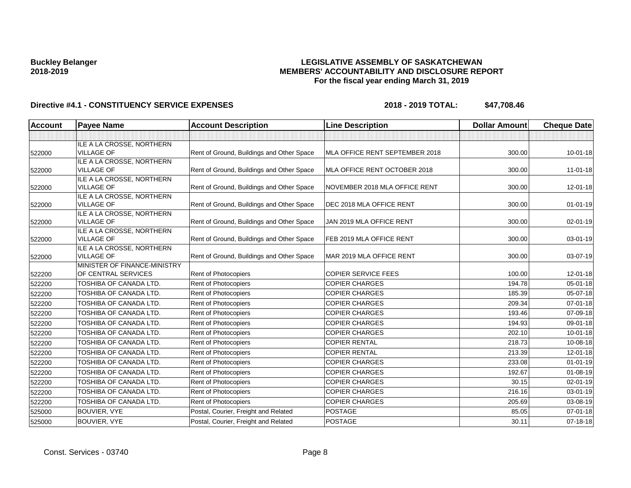### **LEGISLATIVE ASSEMBLY OF SASKATCHEWAN MEMBERS' ACCOUNTABILITY AND DISCLOSURE REPORT For the fiscal year ending March 31, 2019**

| <b>Account</b> | <b>Payee Name</b>                              | <b>Account Description</b>                | <b>Line Description</b>        | <b>Dollar Amount</b> | <b>Cheque Date</b> |
|----------------|------------------------------------------------|-------------------------------------------|--------------------------------|----------------------|--------------------|
|                |                                                |                                           |                                |                      |                    |
|                | ILE A LA CROSSE, NORTHERN                      |                                           |                                |                      |                    |
| 522000         | <b>VILLAGE OF</b>                              | Rent of Ground, Buildings and Other Space | MLA OFFICE RENT SEPTEMBER 2018 | 300.00               | $10 - 01 - 18$     |
|                | ILE A LA CROSSE, NORTHERN                      |                                           |                                |                      |                    |
| 522000         | <b>VILLAGE OF</b>                              | Rent of Ground, Buildings and Other Space | MLA OFFICE RENT OCTOBER 2018   | 300.00               | $11 - 01 - 18$     |
|                | ILE A LA CROSSE, NORTHERN<br><b>VILLAGE OF</b> |                                           |                                |                      |                    |
| 522000         |                                                | Rent of Ground, Buildings and Other Space | NOVEMBER 2018 MLA OFFICE RENT  | 300.00               | $12 - 01 - 18$     |
| 522000         | ILE A LA CROSSE, NORTHERN<br><b>VILLAGE OF</b> | Rent of Ground, Buildings and Other Space | DEC 2018 MLA OFFICE RENT       | 300.00               | $01 - 01 - 19$     |
|                | ILE A LA CROSSE, NORTHERN                      |                                           |                                |                      |                    |
| 522000         | <b>VILLAGE OF</b>                              | Rent of Ground, Buildings and Other Space | JAN 2019 MLA OFFICE RENT       | 300.00               | 02-01-19           |
|                | ILE A LA CROSSE, NORTHERN                      |                                           |                                |                      |                    |
| 522000         | <b>VILLAGE OF</b>                              | Rent of Ground, Buildings and Other Space | FEB 2019 MLA OFFICE RENT       | 300.00               | 03-01-19           |
|                | ILE A LA CROSSE, NORTHERN                      |                                           |                                |                      |                    |
| 522000         | <b>VILLAGE OF</b>                              | Rent of Ground, Buildings and Other Space | MAR 2019 MLA OFFICE RENT       | 300.00               | 03-07-19           |
|                | MINISTER OF FINANCE-MINISTRY                   |                                           |                                |                      |                    |
| 522200         | OF CENTRAL SERVICES                            | Rent of Photocopiers                      | <b>COPIER SERVICE FEES</b>     | 100.00               | 12-01-18           |
| 522200         | TOSHIBA OF CANADA LTD.                         | Rent of Photocopiers                      | <b>COPIER CHARGES</b>          | 194.78               | 05-01-18           |
| 522200         | TOSHIBA OF CANADA LTD.                         | Rent of Photocopiers                      | <b>COPIER CHARGES</b>          | 185.39               | 05-07-18           |
| 522200         | TOSHIBA OF CANADA LTD.                         | Rent of Photocopiers                      | <b>COPIER CHARGES</b>          | 209.34               | 07-01-18           |
| 522200         | TOSHIBA OF CANADA LTD.                         | Rent of Photocopiers                      | <b>COPIER CHARGES</b>          | 193.46               | 07-09-18           |
| 522200         | <b>TOSHIBA OF CANADA LTD.</b>                  | Rent of Photocopiers                      | <b>COPIER CHARGES</b>          | 194.93               | 09-01-18           |
| 522200         | TOSHIBA OF CANADA LTD.                         | <b>Rent of Photocopiers</b>               | <b>COPIER CHARGES</b>          | 202.10               | 10-01-18           |
| 522200         | TOSHIBA OF CANADA LTD.                         | Rent of Photocopiers                      | <b>COPIER RENTAL</b>           | 218.73               | 10-08-18           |
| 522200         | <b>TOSHIBA OF CANADA LTD.</b>                  | Rent of Photocopiers                      | <b>COPIER RENTAL</b>           | 213.39               | 12-01-18           |
| 522200         | <b>TOSHIBA OF CANADA LTD.</b>                  | Rent of Photocopiers                      | <b>COPIER CHARGES</b>          | 233.08               | $01 - 01 - 19$     |
| 522200         | TOSHIBA OF CANADA LTD.                         | Rent of Photocopiers                      | <b>COPIER CHARGES</b>          | 192.67               | $01 - 08 - 19$     |
| 522200         | TOSHIBA OF CANADA LTD.                         | Rent of Photocopiers                      | <b>COPIER CHARGES</b>          | 30.15                | 02-01-19           |
| 522200         | TOSHIBA OF CANADA LTD.                         | Rent of Photocopiers                      | <b>COPIER CHARGES</b>          | 216.16               | 03-01-19           |
| 522200         | TOSHIBA OF CANADA LTD.                         | Rent of Photocopiers                      | <b>COPIER CHARGES</b>          | 205.69               | 03-08-19           |
| 525000         | <b>BOUVIER, VYE</b>                            | Postal, Courier, Freight and Related      | <b>POSTAGE</b>                 | 85.05                | 07-01-18           |
| 525000         | BOUVIER, VYE                                   | Postal, Courier, Freight and Related      | <b>POSTAGE</b>                 | 30.11                | 07-18-18           |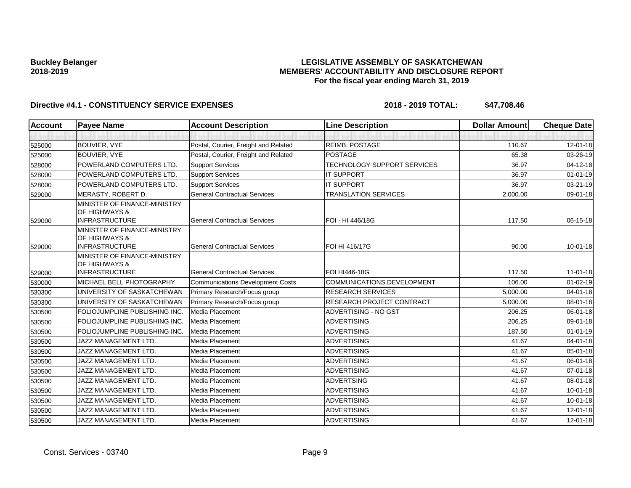### **LEGISLATIVE ASSEMBLY OF SASKATCHEWAN MEMBERS' ACCOUNTABILITY AND DISCLOSURE REPORT For the fiscal year ending March 31, 2019**

| Account | <b>Payee Name</b>                                                      | <b>Account Description</b>              | <b>Line Description</b>            | <b>Dollar Amount</b> | <b>Cheque Date</b> |
|---------|------------------------------------------------------------------------|-----------------------------------------|------------------------------------|----------------------|--------------------|
|         |                                                                        |                                         |                                    |                      |                    |
| 525000  | <b>BOUVIER, VYE</b>                                                    | Postal, Courier, Freight and Related    | <b>REIMB: POSTAGE</b>              | 110.67               | $12 - 01 - 18$     |
| 525000  | <b>BOUVIER, VYE</b>                                                    | Postal, Courier, Freight and Related    | <b>POSTAGE</b>                     | 65.38                | 03-26-19           |
| 528000  | POWERLAND COMPUTERS LTD.                                               | <b>Support Services</b>                 | <b>TECHNOLOGY SUPPORT SERVICES</b> | 36.97                | 04-12-18           |
| 528000  | POWERLAND COMPUTERS LTD.                                               | <b>Support Services</b>                 | <b>IT SUPPORT</b>                  | 36.97                | $01 - 01 - 19$     |
| 528000  | POWERLAND COMPUTERS LTD.                                               | <b>Support Services</b>                 | <b>IT SUPPORT</b>                  | 36.97                | 03-21-19           |
| 529000  | MERASTY, ROBERT D.                                                     | <b>General Contractual Services</b>     | <b>TRANSLATION SERVICES</b>        | 2,000.00             | 09-01-18           |
| 529000  | MINISTER OF FINANCE-MINISTRY<br>OF HIGHWAYS &<br><b>INFRASTRUCTURE</b> | <b>General Contractual Services</b>     | FOI - HI 446/18G                   | 117.50               | 06-15-18           |
| 529000  | MINISTER OF FINANCE-MINISTRY<br>OF HIGHWAYS &<br><b>INFRASTRUCTURE</b> | <b>General Contractual Services</b>     | FOI HI 416/17G                     | 90.00                | $10 - 01 - 18$     |
| 529000  | MINISTER OF FINANCE-MINISTRY<br>OF HIGHWAYS &<br><b>INFRASTRUCTURE</b> | <b>General Contractual Services</b>     | FOI HI446-18G                      | 117.50               | $11 - 01 - 18$     |
| 530000  | MICHAEL BELL PHOTOGRAPHY                                               | <b>Communications Development Costs</b> | <b>COMMUNICATIONS DEVELOPMENT</b>  | 106.00               | $01 - 02 - 19$     |
| 530300  | UNIVERSITY OF SASKATCHEWAN                                             | Primary Research/Focus group            | <b>RESEARCH SERVICES</b>           | 5,000.00             | 04-01-18           |
| 530300  | UNIVERSITY OF SASKATCHEWAN                                             | Primary Research/Focus group            | <b>RESEARCH PROJECT CONTRACT</b>   | 5,000.00             | 08-01-18           |
| 530500  | FOLIOJUMPLINE PUBLISHING INC.                                          | Media Placement                         | ADVERTISING - NO GST               | 206.25               | 06-01-18           |
| 530500  | FOLIOJUMPLINE PUBLISHING INC.                                          | Media Placement                         | <b>ADVERTISING</b>                 | 206.25               | 09-01-18           |
| 530500  | FOLIOJUMPLINE PUBLISHING INC.                                          | Media Placement                         | ADVERTISING                        | 187.50               | $01 - 01 - 19$     |
| 530500  | JAZZ MANAGEMENT LTD.                                                   | Media Placement                         | <b>ADVERTISING</b>                 | 41.67                | $04 - 01 - 18$     |
| 530500  | JAZZ MANAGEMENT LTD.                                                   | Media Placement                         | <b>ADVERTISING</b>                 | 41.67                | 05-01-18           |
| 530500  | JAZZ MANAGEMENT LTD.                                                   | Media Placement                         | <b>ADVERTISING</b>                 | 41.67                | 06-01-18           |
| 530500  | JAZZ MANAGEMENT LTD.                                                   | Media Placement                         | <b>ADVERTISING</b>                 | 41.67                | $07 - 01 - 18$     |
| 530500  | <b>JAZZ MANAGEMENT LTD.</b>                                            | Media Placement                         | <b>ADVERTSING</b>                  | 41.67                | 08-01-18           |
| 530500  | <b>JAZZ MANAGEMENT LTD.</b>                                            | Media Placement                         | <b>ADVERTISING</b>                 | 41.67                | $10 - 01 - 18$     |
| 530500  | JAZZ MANAGEMENT LTD.                                                   | Media Placement                         | <b>ADVERTISING</b>                 | 41.67                | $10 - 01 - 18$     |
| 530500  | JAZZ MANAGEMENT LTD.                                                   | Media Placement                         | <b>ADVERTISING</b>                 | 41.67                | 12-01-18           |
| 530500  | <b>JAZZ MANAGEMENT LTD.</b>                                            | Media Placement                         | <b>ADVERTISING</b>                 | 41.67                | 12-01-18           |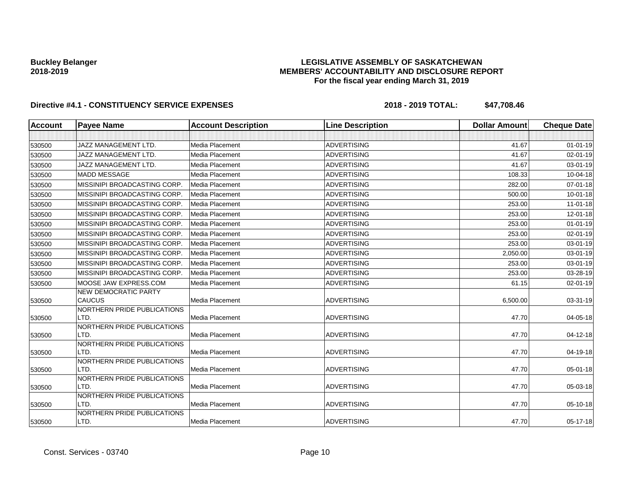### **LEGISLATIVE ASSEMBLY OF SASKATCHEWAN MEMBERS' ACCOUNTABILITY AND DISCLOSURE REPORT For the fiscal year ending March 31, 2019**

| <b>Account</b> | <b>Payee Name</b>                   | <b>Account Description</b> | <b>Line Description</b> | <b>Dollar Amount</b> | <b>Cheque Date</b> |
|----------------|-------------------------------------|----------------------------|-------------------------|----------------------|--------------------|
|                |                                     |                            |                         |                      |                    |
| 530500         | JAZZ MANAGEMENT LTD.                | Media Placement            | <b>ADVERTISING</b>      | 41.67                | $01 - 01 - 19$     |
| 530500         | JAZZ MANAGEMENT LTD.                | Media Placement            | <b>ADVERTISING</b>      | 41.67                | $02 - 01 - 19$     |
| 530500         | <b>JAZZ MANAGEMENT LTD.</b>         | Media Placement            | <b>ADVERTISING</b>      | 41.67                | 03-01-19           |
| 530500         | <b>MADD MESSAGE</b>                 | Media Placement            | <b>ADVERTISING</b>      | 108.33               | $10-04-18$         |
| 530500         | MISSINIPI BROADCASTING CORP.        | Media Placement            | <b>ADVERTISING</b>      | 282.00               | 07-01-18           |
| 530500         | MISSINIPI BROADCASTING CORP.        | Media Placement            | <b>ADVERTISING</b>      | 500.00               | $10 - 01 - 18$     |
| 530500         | MISSINIPI BROADCASTING CORP.        | Media Placement            | <b>ADVERTISING</b>      | 253.00               | $11-01-18$         |
| 530500         | MISSINIPI BROADCASTING CORP.        | Media Placement            | <b>ADVERTISING</b>      | 253.00               | 12-01-18           |
| 530500         | MISSINIPI BROADCASTING CORP.        | Media Placement            | <b>ADVERTISING</b>      | 253.00               | $01 - 01 - 19$     |
| 530500         | MISSINIPI BROADCASTING CORP.        | Media Placement            | <b>ADVERTISING</b>      | 253.00               | $02 - 01 - 19$     |
| 530500         | MISSINIPI BROADCASTING CORP.        | Media Placement            | <b>ADVERTISING</b>      | 253.00               | 03-01-19           |
| 530500         | MISSINIPI BROADCASTING CORP.        | Media Placement            | <b>ADVERTISING</b>      | 2,050.00             | 03-01-19           |
| 530500         | MISSINIPI BROADCASTING CORP         | Media Placement            | <b>ADVERTISING</b>      | 253.00               | 03-01-19           |
| 530500         | MISSINIPI BROADCASTING CORP.        | Media Placement            | ADVERTISING             | 253.00               | 03-28-19           |
| 530500         | MOOSE JAW EXPRESS.COM               | Media Placement            | <b>ADVERTISING</b>      | 61.15                | 02-01-19           |
|                | <b>NEW DEMOCRATIC PARTY</b>         |                            |                         |                      |                    |
| 530500         | CAUCUS                              | Media Placement            | <b>ADVERTISING</b>      | 6,500.00             | 03-31-19           |
|                | NORTHERN PRIDE PUBLICATIONS         |                            |                         |                      |                    |
| 530500         | LTD.                                | Media Placement            | <b>ADVERTISING</b>      | 47.70                | 04-05-18           |
|                | NORTHERN PRIDE PUBLICATIONS<br>LTD. | Media Placement            | <b>ADVERTISING</b>      | 47.70                | 04-12-18           |
| 530500         | NORTHERN PRIDE PUBLICATIONS         |                            |                         |                      |                    |
| 530500         | LTD.                                | Media Placement            | <b>ADVERTISING</b>      | 47.70                | 04-19-18           |
|                | NORTHERN PRIDE PUBLICATIONS         |                            |                         |                      |                    |
| 530500         | LTD.                                | Media Placement            | <b>ADVERTISING</b>      | 47.70                | 05-01-18           |
|                | NORTHERN PRIDE PUBLICATIONS         |                            |                         |                      |                    |
| 530500         | LTD.                                | Media Placement            | <b>ADVERTISING</b>      | 47.70                | 05-03-18           |
|                | NORTHERN PRIDE PUBLICATIONS         |                            |                         |                      |                    |
| 530500         | LTD.                                | Media Placement            | <b>ADVERTISING</b>      | 47.70                | 05-10-18           |
| 530500         | NORTHERN PRIDE PUBLICATIONS<br>LTD. | Media Placement            | <b>ADVERTISING</b>      | 47.70                | $05-17-18$         |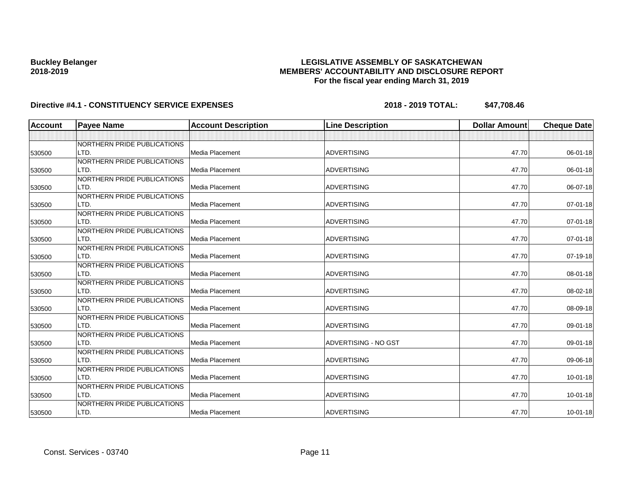### **LEGISLATIVE ASSEMBLY OF SASKATCHEWAN MEMBERS' ACCOUNTABILITY AND DISCLOSURE REPORT For the fiscal year ending March 31, 2019**

| <b>Account</b> | <b>Payee Name</b>           | <b>Account Description</b> | <b>Line Description</b> | <b>Dollar Amount</b> | <b>Cheque Date</b> |
|----------------|-----------------------------|----------------------------|-------------------------|----------------------|--------------------|
|                |                             |                            |                         |                      |                    |
|                | NORTHERN PRIDE PUBLICATIONS |                            |                         |                      |                    |
| 530500         | LTD.                        | Media Placement            | <b>ADVERTISING</b>      | 47.70                | 06-01-18           |
|                | NORTHERN PRIDE PUBLICATIONS |                            |                         |                      |                    |
| 530500         | LTD.                        | Media Placement            | <b>ADVERTISING</b>      | 47.70                | 06-01-18           |
|                | NORTHERN PRIDE PUBLICATIONS |                            |                         |                      |                    |
| 530500         | LTD.                        | Media Placement            | <b>ADVERTISING</b>      | 47.70                | 06-07-18           |
|                | NORTHERN PRIDE PUBLICATIONS |                            |                         |                      |                    |
| 530500         | LTD.                        | Media Placement            | <b>ADVERTISING</b>      | 47.70                | 07-01-18           |
|                | NORTHERN PRIDE PUBLICATIONS |                            |                         |                      |                    |
| 530500         | LTD.                        | Media Placement            | <b>ADVERTISING</b>      | 47.70                | 07-01-18           |
|                | NORTHERN PRIDE PUBLICATIONS |                            |                         |                      |                    |
| 530500         | LTD.                        | Media Placement            | <b>ADVERTISING</b>      | 47.70                | $07 - 01 - 18$     |
|                | NORTHERN PRIDE PUBLICATIONS |                            |                         |                      |                    |
| 530500         | LTD.                        | Media Placement            | <b>ADVERTISING</b>      | 47.70                | 07-19-18           |
|                | NORTHERN PRIDE PUBLICATIONS |                            |                         |                      |                    |
| 530500         | LTD.                        | <b>Media Placement</b>     | <b>ADVERTISING</b>      | 47.70                | 08-01-18           |
|                | NORTHERN PRIDE PUBLICATIONS |                            |                         |                      |                    |
| 530500         | LTD.                        | Media Placement            | <b>ADVERTISING</b>      | 47.70                | 08-02-18           |
|                | NORTHERN PRIDE PUBLICATIONS |                            |                         |                      |                    |
| 530500         | LTD.                        | Media Placement            | <b>ADVERTISING</b>      | 47.70                | 08-09-18           |
|                | NORTHERN PRIDE PUBLICATIONS |                            |                         |                      |                    |
| 530500         | LTD.                        | Media Placement            | <b>ADVERTISING</b>      | 47.70                | 09-01-18           |
|                | NORTHERN PRIDE PUBLICATIONS |                            |                         |                      |                    |
| 530500         | LTD.                        | <b>Media Placement</b>     | ADVERTISING - NO GST    | 47.70                | 09-01-18           |
|                | NORTHERN PRIDE PUBLICATIONS |                            |                         |                      |                    |
| 530500         | LTD.                        | Media Placement            | <b>ADVERTISING</b>      | 47.70                | 09-06-18           |
|                | NORTHERN PRIDE PUBLICATIONS |                            |                         |                      |                    |
| 530500         | LTD.                        | Media Placement            | <b>ADVERTISING</b>      | 47.70                | $10 - 01 - 18$     |
|                | NORTHERN PRIDE PUBLICATIONS |                            |                         |                      |                    |
| 530500         | LTD.                        | Media Placement            | <b>ADVERTISING</b>      | 47.70                | $10 - 01 - 18$     |
|                | NORTHERN PRIDE PUBLICATIONS |                            |                         |                      |                    |
| 530500         | LTD.                        | Media Placement            | ADVERTISING             | 47.70                | $10 - 01 - 18$     |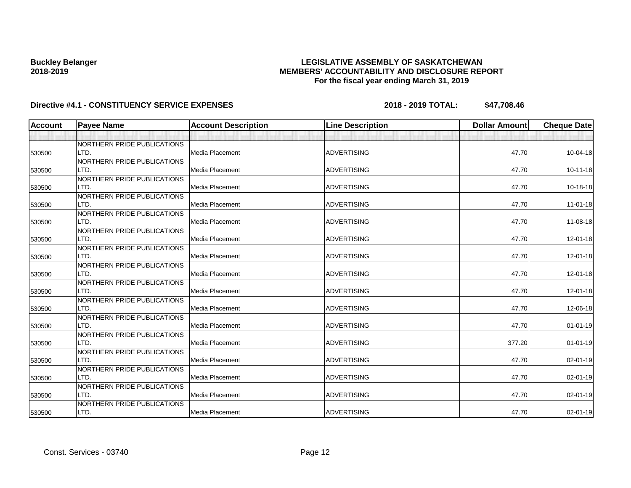### **LEGISLATIVE ASSEMBLY OF SASKATCHEWAN MEMBERS' ACCOUNTABILITY AND DISCLOSURE REPORT For the fiscal year ending March 31, 2019**

| <b>Account</b> | <b>Payee Name</b>           | <b>Account Description</b> | <b>Line Description</b> | <b>Dollar Amount</b> | <b>Cheque Date</b> |
|----------------|-----------------------------|----------------------------|-------------------------|----------------------|--------------------|
|                |                             |                            |                         |                      |                    |
|                | NORTHERN PRIDE PUBLICATIONS |                            |                         |                      |                    |
| 530500         | LTD.                        | Media Placement            | <b>ADVERTISING</b>      | 47.70                | 10-04-18           |
|                | NORTHERN PRIDE PUBLICATIONS |                            |                         |                      |                    |
| 530500         | LTD.                        | <b>Media Placement</b>     | <b>ADVERTISING</b>      | 47.70                | $10 - 11 - 18$     |
|                | NORTHERN PRIDE PUBLICATIONS |                            |                         |                      |                    |
| 530500         | LTD.                        | Media Placement            | <b>ADVERTISING</b>      | 47.70                | 10-18-18           |
|                | NORTHERN PRIDE PUBLICATIONS |                            |                         |                      |                    |
| 530500         | LTD.                        | Media Placement            | <b>ADVERTISING</b>      | 47.70                | $11 - 01 - 18$     |
|                | NORTHERN PRIDE PUBLICATIONS |                            |                         |                      |                    |
| 530500         | LTD.                        | <b>Media Placement</b>     | <b>ADVERTISING</b>      | 47.70                | 11-08-18           |
|                | NORTHERN PRIDE PUBLICATIONS |                            |                         |                      |                    |
| 530500         | LTD.                        | <b>Media Placement</b>     | <b>ADVERTISING</b>      | 47.70                | 12-01-18           |
|                | NORTHERN PRIDE PUBLICATIONS |                            |                         |                      |                    |
| 530500         | LTD.                        | Media Placement            | <b>ADVERTISING</b>      | 47.70                | 12-01-18           |
|                | NORTHERN PRIDE PUBLICATIONS |                            |                         |                      |                    |
| 530500         | LTD.                        | Media Placement            | <b>ADVERTISING</b>      | 47.70                | 12-01-18           |
|                | NORTHERN PRIDE PUBLICATIONS |                            |                         |                      |                    |
| 530500         | LTD.                        | Media Placement            | <b>ADVERTISING</b>      | 47.70                | $12 - 01 - 18$     |
|                | NORTHERN PRIDE PUBLICATIONS |                            |                         |                      |                    |
| 530500         | LTD.                        | Media Placement            | <b>ADVERTISING</b>      | 47.70                | 12-06-18           |
|                | NORTHERN PRIDE PUBLICATIONS |                            |                         |                      |                    |
| 530500         | LTD.                        | <b>Media Placement</b>     | <b>ADVERTISING</b>      | 47.70                | $01 - 01 - 19$     |
|                | NORTHERN PRIDE PUBLICATIONS |                            |                         |                      |                    |
| 530500         | LTD.                        | Media Placement            | <b>ADVERTISING</b>      | 377.20               | $01-01-19$         |
|                | NORTHERN PRIDE PUBLICATIONS |                            |                         |                      |                    |
| 530500         | LTD.                        | Media Placement            | <b>ADVERTISING</b>      | 47.70                | 02-01-19           |
|                | NORTHERN PRIDE PUBLICATIONS |                            |                         |                      |                    |
| 530500         | LTD.                        | <b>Media Placement</b>     | <b>ADVERTISING</b>      | 47.70                | 02-01-19           |
|                | NORTHERN PRIDE PUBLICATIONS |                            |                         |                      |                    |
| 530500         | LTD.                        | Media Placement            | <b>ADVERTISING</b>      | 47.70                | 02-01-19           |
|                | NORTHERN PRIDE PUBLICATIONS |                            |                         |                      |                    |
| 530500         | LTD.                        | Media Placement            | ADVERTISING             | 47.70                | 02-01-19           |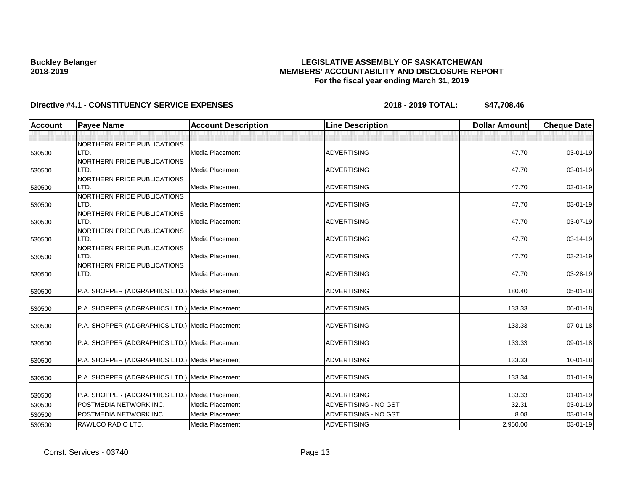### **LEGISLATIVE ASSEMBLY OF SASKATCHEWAN MEMBERS' ACCOUNTABILITY AND DISCLOSURE REPORT For the fiscal year ending March 31, 2019**

|                |                                                |                 |                      | <b>Dollar Amount</b> | <b>Cheque Date</b> |
|----------------|------------------------------------------------|-----------------|----------------------|----------------------|--------------------|
|                |                                                |                 |                      |                      |                    |
|                | NORTHERN PRIDE PUBLICATIONS                    |                 |                      |                      |                    |
| LTD.<br>530500 |                                                | Media Placement | <b>ADVERTISING</b>   | 47.70                | 03-01-19           |
|                | NORTHERN PRIDE PUBLICATIONS                    |                 |                      |                      |                    |
| LTD.<br>530500 |                                                | Media Placement | <b>ADVERTISING</b>   | 47.70                | 03-01-19           |
|                | NORTHERN PRIDE PUBLICATIONS                    |                 |                      |                      |                    |
| LTD.<br>530500 |                                                | Media Placement | <b>ADVERTISING</b>   | 47.70                | 03-01-19           |
|                | NORTHERN PRIDE PUBLICATIONS                    |                 |                      |                      |                    |
| LTD.<br>530500 |                                                | Media Placement | <b>ADVERTISING</b>   | 47.70                | 03-01-19           |
|                | NORTHERN PRIDE PUBLICATIONS                    |                 |                      |                      |                    |
| LTD.<br>530500 |                                                | Media Placement | <b>ADVERTISING</b>   | 47.70                | 03-07-19           |
|                | NORTHERN PRIDE PUBLICATIONS                    |                 |                      |                      |                    |
| LTD.<br>530500 |                                                | Media Placement | <b>ADVERTISING</b>   | 47.70                | 03-14-19           |
|                | NORTHERN PRIDE PUBLICATIONS                    |                 |                      |                      |                    |
| LTD.<br>530500 |                                                | Media Placement | <b>ADVERTISING</b>   | 47.70                | 03-21-19           |
| LTD.           | NORTHERN PRIDE PUBLICATIONS                    | Media Placement | <b>ADVERTISING</b>   | 47.70                | 03-28-19           |
| 530500         |                                                |                 |                      |                      |                    |
| 530500         | P.A. SHOPPER (ADGRAPHICS LTD.) Media Placement |                 | <b>ADVERTISING</b>   | 180.40               | 05-01-18           |
|                |                                                |                 |                      |                      |                    |
| 530500         | P.A. SHOPPER (ADGRAPHICS LTD.) Media Placement |                 | <b>ADVERTISING</b>   | 133.33               | 06-01-18           |
| 530500         | P.A. SHOPPER (ADGRAPHICS LTD.) Media Placement |                 | <b>ADVERTISING</b>   | 133.33               | $07 - 01 - 18$     |
|                |                                                |                 |                      |                      |                    |
| 530500         | P.A. SHOPPER (ADGRAPHICS LTD.) Media Placement |                 | <b>ADVERTISING</b>   | 133.33               | 09-01-18           |
| 530500         | P.A. SHOPPER (ADGRAPHICS LTD.) Media Placement |                 | <b>ADVERTISING</b>   | 133.33               | 10-01-18           |
| 530500         | P.A. SHOPPER (ADGRAPHICS LTD.) Media Placement |                 | <b>ADVERTISING</b>   | 133.34               | $01 - 01 - 19$     |
|                |                                                |                 |                      |                      |                    |
| 530500         | P.A. SHOPPER (ADGRAPHICS LTD.) Media Placement |                 | <b>ADVERTISING</b>   | 133.33               | $01 - 01 - 19$     |
| 530500         | POSTMEDIA NETWORK INC.                         | Media Placement | ADVERTISING - NO GST | 32.31                | 03-01-19           |
| 530500         | POSTMEDIA NETWORK INC.                         | Media Placement | ADVERTISING - NO GST | 8.08                 | 03-01-19           |
| 530500         | RAWLCO RADIO LTD.                              | Media Placement | <b>ADVERTISING</b>   | 2,950.00             | 03-01-19           |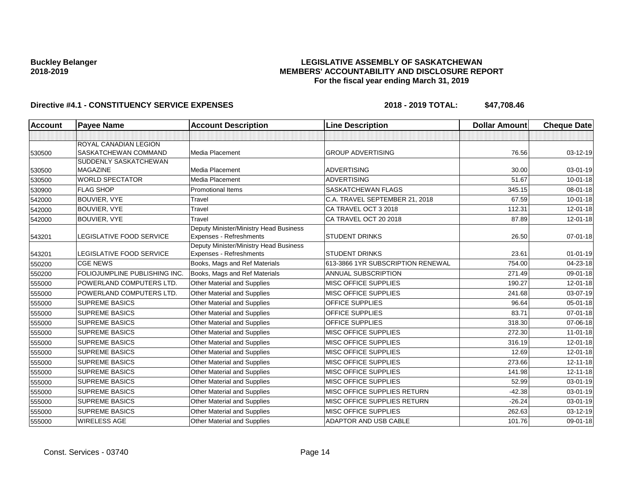### **LEGISLATIVE ASSEMBLY OF SASKATCHEWAN MEMBERS' ACCOUNTABILITY AND DISCLOSURE REPORT For the fiscal year ending March 31, 2019**

| <b>Account</b> | <b>Payee Name</b>                               | <b>Account Description</b>                                        | <b>Line Description</b>           | <b>Dollar Amount</b> | <b>Cheque Date</b> |
|----------------|-------------------------------------------------|-------------------------------------------------------------------|-----------------------------------|----------------------|--------------------|
|                |                                                 |                                                                   |                                   |                      |                    |
| 530500         | ROYAL CANADIAN LEGION<br>SASKATCHEWAN COMMAND   | Media Placement                                                   | <b>GROUP ADVERTISING</b>          | 76.56                | 03-12-19           |
| 530500         | <b>SUDDENLY SASKATCHEWAN</b><br><b>MAGAZINE</b> | Media Placement                                                   | <b>ADVERTISING</b>                | 30.00                | $03 - 01 - 19$     |
| 530500         | <b>WORLD SPECTATOR</b>                          | Media Placement                                                   | <b>ADVERTISING</b>                | 51.67                | 10-01-18           |
| 530900         | <b>FLAG SHOP</b>                                | <b>Promotional Items</b>                                          | SASKATCHEWAN FLAGS                | 345.15               | $08 - 01 - 18$     |
| 542000         | <b>BOUVIER, VYE</b>                             | Travel                                                            | C.A. TRAVEL SEPTEMBER 21, 2018    | 67.59                | 10-01-18           |
| 542000         | BOUVIER, VYE                                    | Travel                                                            | CA TRAVEL OCT 3 2018              | 112.31               | 12-01-18           |
| 542000         | BOUVIER, VYE                                    | Travel                                                            | CA TRAVEL OCT 20 2018             | 87.89                | 12-01-18           |
| 543201         | LEGISLATIVE FOOD SERVICE                        | Deputy Minister/Ministry Head Business<br>Expenses - Refreshments | <b>STUDENT DRINKS</b>             | 26.50                | $07 - 01 - 18$     |
| 543201         | LEGISLATIVE FOOD SERVICE                        | Deputy Minister/Ministry Head Business<br>Expenses - Refreshments | <b>STUDENT DRINKS</b>             | 23.61                | $01 - 01 - 19$     |
| 550200         | <b>CGE NEWS</b>                                 | Books, Mags and Ref Materials                                     | 613-3866 1YR SUBSCRIPTION RENEWAL | 754.00               | 04-23-18           |
| 550200         | FOLIOJUMPLINE PUBLISHING INC.                   | Books, Mags and Ref Materials                                     | <b>ANNUAL SUBSCRIPTION</b>        | 271.49               | 09-01-18           |
| 555000         | POWERLAND COMPUTERS LTD.                        | Other Material and Supplies                                       | MISC OFFICE SUPPLIES              | 190.27               | 12-01-18           |
| 555000         | POWERLAND COMPUTERS LTD.                        | Other Material and Supplies                                       | <b>MISC OFFICE SUPPLIES</b>       | 241.68               | 03-07-19           |
| 555000         | <b>SUPREME BASICS</b>                           | Other Material and Supplies                                       | <b>OFFICE SUPPLIES</b>            | 96.64                | 05-01-18           |
| 555000         | <b>SUPREME BASICS</b>                           | Other Material and Supplies                                       | <b>OFFICE SUPPLIES</b>            | 83.71                | 07-01-18           |
| 555000         | <b>SUPREME BASICS</b>                           | Other Material and Supplies                                       | OFFICE SUPPLIES                   | 318.30               | 07-06-18           |
| 555000         | <b>SUPREME BASICS</b>                           | Other Material and Supplies                                       | MISC OFFICE SUPPLIES              | 272.30               | $11-01-18$         |
| 555000         | <b>SUPREME BASICS</b>                           | Other Material and Supplies                                       | <b>MISC OFFICE SUPPLIES</b>       | 316.19               | 12-01-18           |
| 555000         | <b>SUPREME BASICS</b>                           | Other Material and Supplies                                       | <b>MISC OFFICE SUPPLIES</b>       | 12.69                | $12 - 01 - 18$     |
| 555000         | <b>SUPREME BASICS</b>                           | Other Material and Supplies                                       | <b>MISC OFFICE SUPPLIES</b>       | 273.66               | 12-11-18           |
| 555000         | <b>SUPREME BASICS</b>                           | Other Material and Supplies                                       | MISC OFFICE SUPPLIES              | 141.98               | 12-11-18           |
| 555000         | <b>SUPREME BASICS</b>                           | Other Material and Supplies                                       | <b>MISC OFFICE SUPPLIES</b>       | 52.99                | 03-01-19           |
| 555000         | <b>SUPREME BASICS</b>                           | Other Material and Supplies                                       | MISC OFFICE SUPPLIES RETURN       | $-42.38$             | 03-01-19           |
| 555000         | <b>SUPREME BASICS</b>                           | Other Material and Supplies                                       | MISC OFFICE SUPPLIES RETURN       | $-26.24$             | 03-01-19           |
| 555000         | <b>SUPREME BASICS</b>                           | Other Material and Supplies                                       | <b>MISC OFFICE SUPPLIES</b>       | 262.63               | 03-12-19           |
| 555000         | <b>WIRELESS AGE</b>                             | Other Material and Supplies                                       | <b>ADAPTOR AND USB CABLE</b>      | 101.76               | 09-01-18           |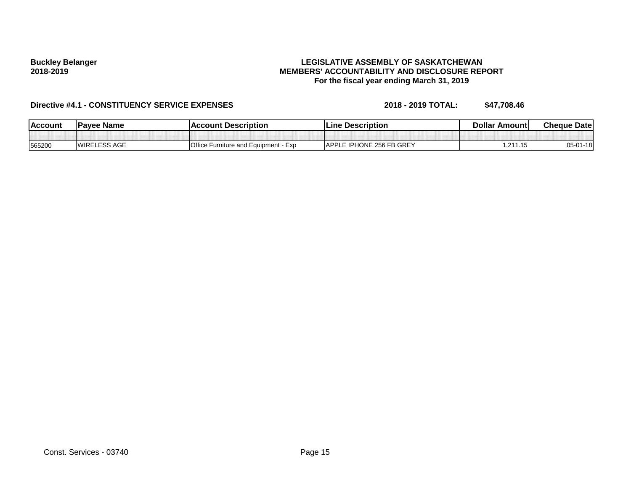### **LEGISLATIVE ASSEMBLY OF SASKATCHEWAN MEMBERS' ACCOUNTABILITY AND DISCLOSURE REPORT For the fiscal year ending March 31, 2019**

| <b>IAccount</b> | <b>IPavee Name</b>  | l Account Description                     | Line Description         | <b>Dollar Amountl</b> | <b>Cheque Datel</b> |
|-----------------|---------------------|-------------------------------------------|--------------------------|-----------------------|---------------------|
|                 |                     |                                           |                          |                       |                     |
| 565200          | <b>WIRELESS AGE</b> | Office Furniture and Equipment -<br>- Exp | APPLE IPHONE 256 FB GREY | 1.211.15              | $05 - 01 - 18$      |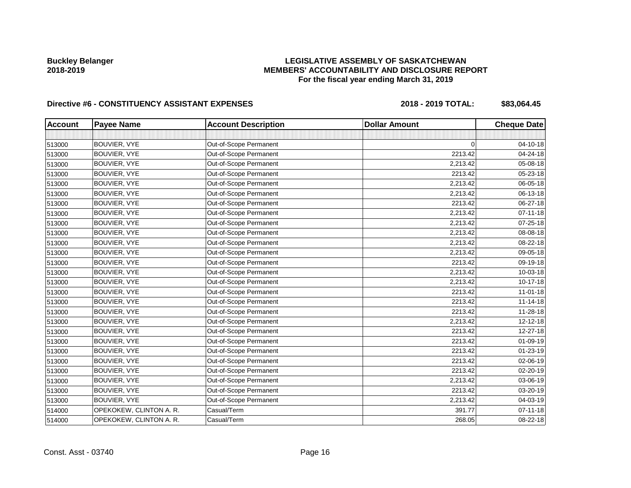### **LEGISLATIVE ASSEMBLY OF SASKATCHEWAN MEMBERS' ACCOUNTABILITY AND DISCLOSURE REPORT For the fiscal year ending March 31, 2019**

# Directive #6 - CONSTITUENCY ASSISTANT EXPENSES 2018 - 2018 - 2019 TOTAL: \$83,064.45

| <b>Account</b> | <b>Payee Name</b>       | <b>Account Description</b> | <b>Dollar Amount</b> | <b>Cheque Date</b> |
|----------------|-------------------------|----------------------------|----------------------|--------------------|
|                |                         |                            |                      |                    |
| 513000         | <b>BOUVIER, VYE</b>     | Out-of-Scope Permanent     | 0                    | 04-10-18           |
| 513000         | BOUVIER, VYE            | Out-of-Scope Permanent     | 2213.42              | 04-24-18           |
| 513000         | BOUVIER, VYE            | Out-of-Scope Permanent     | 2,213.42             | $05 - 08 - 18$     |
| 513000         | <b>BOUVIER, VYE</b>     | Out-of-Scope Permanent     | 2213.42              | 05-23-18           |
| 513000         | BOUVIER, VYE            | Out-of-Scope Permanent     | 2,213.42             | 06-05-18           |
| 513000         | BOUVIER, VYE            | Out-of-Scope Permanent     | 2,213.42             | 06-13-18           |
| 513000         | BOUVIER, VYE            | Out-of-Scope Permanent     | 2213.42              | 06-27-18           |
| 513000         | <b>BOUVIER, VYE</b>     | Out-of-Scope Permanent     | 2,213.42             | $07 - 11 - 18$     |
| 513000         | BOUVIER, VYE            | Out-of-Scope Permanent     | 2,213.42             | 07-25-18           |
| 513000         | BOUVIER, VYE            | Out-of-Scope Permanent     | 2,213.42             | 08-08-18           |
| 513000         | BOUVIER, VYE            | Out-of-Scope Permanent     | 2,213.42             | 08-22-18           |
| 513000         | BOUVIER, VYE            | Out-of-Scope Permanent     | 2,213.42             | 09-05-18           |
| 513000         | BOUVIER, VYE            | Out-of-Scope Permanent     | 2213.42              | 09-19-18           |
| 513000         | BOUVIER, VYE            | Out-of-Scope Permanent     | 2,213.42             | 10-03-18           |
| 513000         | BOUVIER, VYE            | Out-of-Scope Permanent     | 2,213.42             | $10-17-18$         |
| 513000         | BOUVIER, VYE            | Out-of-Scope Permanent     | 2213.42              | 11-01-18           |
| 513000         | <b>BOUVIER, VYE</b>     | Out-of-Scope Permanent     | 2213.42              | $11 - 14 - 18$     |
| 513000         | BOUVIER, VYE            | Out-of-Scope Permanent     | 2213.42              | 11-28-18           |
| 513000         | BOUVIER, VYE            | Out-of-Scope Permanent     | 2,213.42             | 12-12-18           |
| 513000         | <b>BOUVIER, VYE</b>     | Out-of-Scope Permanent     | 2213.42              | 12-27-18           |
| 513000         | BOUVIER, VYE            | Out-of-Scope Permanent     | 2213.42              | 01-09-19           |
| 513000         | BOUVIER, VYE            | Out-of-Scope Permanent     | 2213.42              | 01-23-19           |
| 513000         | <b>BOUVIER, VYE</b>     | Out-of-Scope Permanent     | 2213.42              | 02-06-19           |
| 513000         | <b>BOUVIER, VYE</b>     | Out-of-Scope Permanent     | 2213.42              | 02-20-19           |
| 513000         | <b>BOUVIER, VYE</b>     | Out-of-Scope Permanent     | 2,213.42             | 03-06-19           |
| 513000         | BOUVIER, VYE            | Out-of-Scope Permanent     | 2213.42              | 03-20-19           |
| 513000         | <b>BOUVIER, VYE</b>     | Out-of-Scope Permanent     | 2,213.42             | 04-03-19           |
| 514000         | OPEKOKEW, CLINTON A. R. | Casual/Term                | 391.77               | $07 - 11 - 18$     |
| 514000         | OPEKOKEW, CLINTON A. R. | Casual/Term                | 268.05               | 08-22-18           |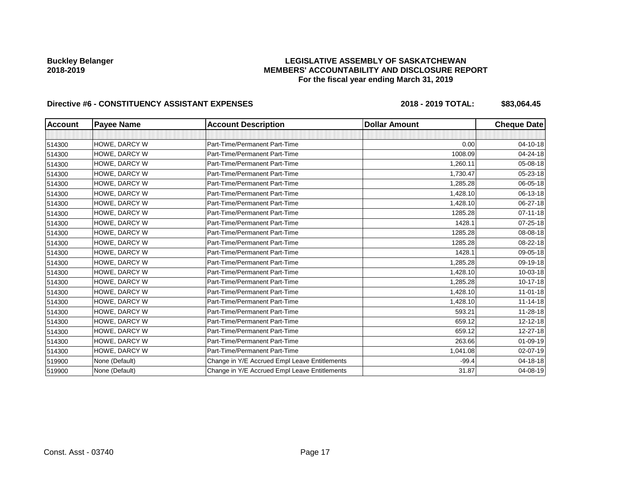### **LEGISLATIVE ASSEMBLY OF SASKATCHEWAN MEMBERS' ACCOUNTABILITY AND DISCLOSURE REPORT For the fiscal year ending March 31, 2019**

# Directive #6 - CONSTITUENCY ASSISTANT EXPENSES 2018 - 2018 - 2019 TOTAL: \$83,064.45

| <b>Account</b> | <b>Payee Name</b> | <b>Account Description</b>                    | <b>Dollar Amount</b> | <b>Cheque Date</b> |
|----------------|-------------------|-----------------------------------------------|----------------------|--------------------|
|                |                   |                                               |                      |                    |
| 514300         | HOWE, DARCY W     | Part-Time/Permanent Part-Time                 | 0.00                 | $04 - 10 - 18$     |
| 514300         | HOWE, DARCY W     | Part-Time/Permanent Part-Time                 | 1008.09              | 04-24-18           |
| 514300         | HOWE, DARCY W     | Part-Time/Permanent Part-Time                 | 1,260.11             | 05-08-18           |
| 514300         | HOWE, DARCY W     | Part-Time/Permanent Part-Time                 | 1,730.47             | 05-23-18           |
| 514300         | HOWE, DARCY W     | Part-Time/Permanent Part-Time                 | 1,285.28             | 06-05-18           |
| 514300         | HOWE, DARCY W     | Part-Time/Permanent Part-Time                 | 1.428.10             | 06-13-18           |
| 514300         | HOWE, DARCY W     | Part-Time/Permanent Part-Time                 | 1,428.10             | 06-27-18           |
| 514300         | HOWE, DARCY W     | Part-Time/Permanent Part-Time                 | 1285.28              | $07 - 11 - 18$     |
| 514300         | HOWE, DARCY W     | Part-Time/Permanent Part-Time                 | 1428.1               | $07 - 25 - 18$     |
| 514300         | HOWE, DARCY W     | Part-Time/Permanent Part-Time                 | 1285.28              | 08-08-18           |
| 514300         | HOWE, DARCY W     | Part-Time/Permanent Part-Time                 | 1285.28              | 08-22-18           |
| 514300         | HOWE, DARCY W     | Part-Time/Permanent Part-Time                 | 1428.1               | 09-05-18           |
| 514300         | HOWE, DARCY W     | Part-Time/Permanent Part-Time                 | 1,285.28             | 09-19-18           |
| 514300         | HOWE, DARCY W     | Part-Time/Permanent Part-Time                 | 1,428.10             | 10-03-18           |
| 514300         | HOWE, DARCY W     | Part-Time/Permanent Part-Time                 | 1,285.28             | $10 - 17 - 18$     |
| 514300         | HOWE, DARCY W     | Part-Time/Permanent Part-Time                 | 1,428.10             | $11 - 01 - 18$     |
| 514300         | HOWE, DARCY W     | Part-Time/Permanent Part-Time                 | 1,428.10             | $11 - 14 - 18$     |
| 514300         | HOWE, DARCY W     | Part-Time/Permanent Part-Time                 | 593.21               | 11-28-18           |
| 514300         | HOWE, DARCY W     | Part-Time/Permanent Part-Time                 | 659.12               | 12-12-18           |
| 514300         | HOWE, DARCY W     | Part-Time/Permanent Part-Time                 | 659.12               | 12-27-18           |
| 514300         | HOWE, DARCY W     | Part-Time/Permanent Part-Time                 | 263.66               | $01 - 09 - 19$     |
| 514300         | HOWE, DARCY W     | Part-Time/Permanent Part-Time                 | 1,041.08             | 02-07-19           |
| 519900         | None (Default)    | Change in Y/E Accrued Empl Leave Entitlements | $-99.4$              | 04-18-18           |
| 519900         | None (Default)    | Change in Y/E Accrued Empl Leave Entitlements | 31.87                | 04-08-19           |